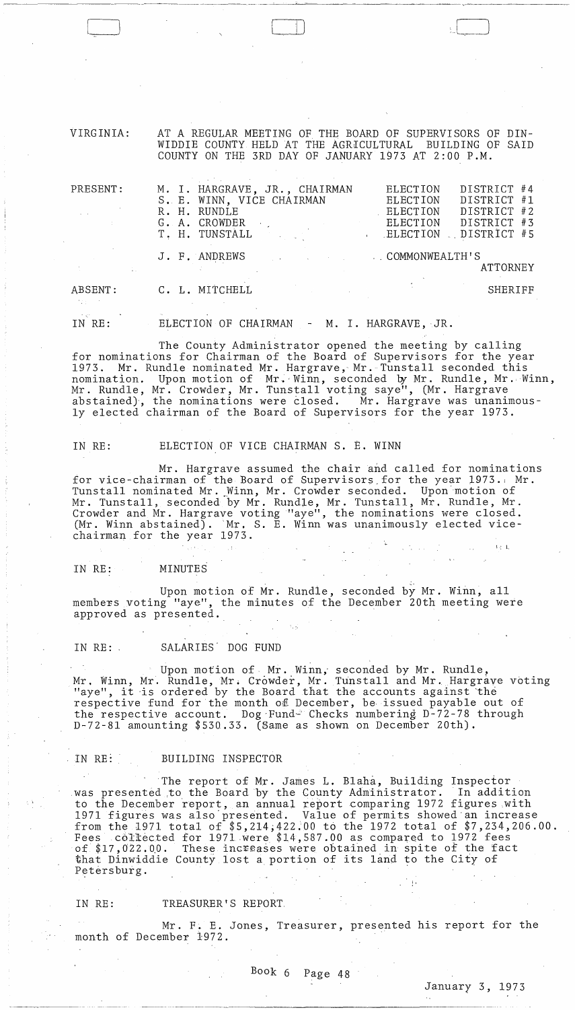VIRGINIA: AT A REGULAR MEETING OF THE BOARD OF SUPERVISORS OF DIN-WIDDIE COUNTY HELD AT THE AGRICULTURAL BUILDING OF SAID COUNTY ON THE 3RD DAY OF JANUARY 1973 AT 2:00 P.M.

| PRESENT:       | M. I. HARGRAVE, JR., CHAIRMAN<br>S. E. WINN, VICE CHAIRMAN<br>R. H. RUNDLE<br>G. A. CROWDER<br>T. H. TUNSTALL | DISTRICT #4<br>ELECTION<br>DISTRICT #1<br>ELECTION<br>DISTRICT #2<br>ELECTION<br>DISTRICT #3<br>ELECTION<br>DISTRICT #5<br>ELECTION |
|----------------|---------------------------------------------------------------------------------------------------------------|-------------------------------------------------------------------------------------------------------------------------------------|
|                | J. F. ANDREWS                                                                                                 | COMMONWEALTH'S<br>ATTORNEY                                                                                                          |
| ABSENT:<br>大义务 | C. L. MITCHELL                                                                                                | SHERIFF                                                                                                                             |

IN RE: ELECTION OF CHAIRMAN - M. I. HARGRAVE, JR.

The County Administrator opened the meeting by calling for nominations for Chairman of the Board of Supervisors for the year 1973. Mr. Rundle nominated Mr. Hargrave, Mr. Tunstall seconded this nomination. Upon motion of Mr. Winn, seconded by Mr. Rundle, Mr. Winn, Mr. Rundle, Mr. Crowder, Mr. Tunstall voting saye", (Mr. Hargrave abstained), the nominations were closed. Mr. Hargrave was unanimously elected chairman of the Board of Supervisors for the year 1973.

IN RE: ELECTION OF VICE CHAIRMAN S. E. WINN

Mr. Hargrave assumed the chair and called for nominations for vice-chairman of the Board of Supervisors for the year 1973. Mr. Tunstall nominated Mr .. Winn, Mr. Crowder seconded. Upon'motion of Mr. Tunstall, seconded by Mr. Rundle, Mr. Tunstall, Mr. Rundle, Mr. Crowder and Mr. Hargrave voting "aye", the nominations were closed. (Mr. Winn abstained). 'Mr. S. E. Winn was unanimously elected vicechairman for the year 1973.

## IN RE: MINUTES

Upon motion of Mr. Rundle, seconded by Mr. Winn, all members voting "aye", the minutes of the December 20th meeting were approved as presented.

### IN RE: SALARIES DOG FUND

Upon motion of· Mr. Winn; seconded by Mr. Rundle, Mr. Winn, Mr. Rundle, Mr. Crowder, Mr. Tunstall and Mr. Hargrave voting "aye", it is ordered by the Board that the accounts against the respective fund for the month of December, be issued payable out of the respective account. Dog Fund- Checks numbering D-72-78 through D-72-8l amounting \$530.33. (Same as shown on December 20th).

### IN RE: BUILDING INSPECTOR

The report of Mr. James L. Blaha, Building Inspector was presented to the Board by the County Administrator. In addition to the December report, an annual report comparing 1972 figures .with 1971 figures was also presented. Value of permits showed an increase from the 1971 total of  $$5,214,422.00$  to the 1972 total of  $$7,234,206.00$ . Fees collected for 1971 ·were \$14,587.00 as compared to 1972 fees of \$17,022.00. These increases were obtained in spite of the fact that Dinwiddie County lost a portion of its land to the City of Petersburg. i,

IN RE: TREASURER'S REPORT,

Mr. F. E. Jones, Treasurer, presented his report for the month of December 1972.

 $1 \lesssim \,$  L

 $\frac{1}{2}$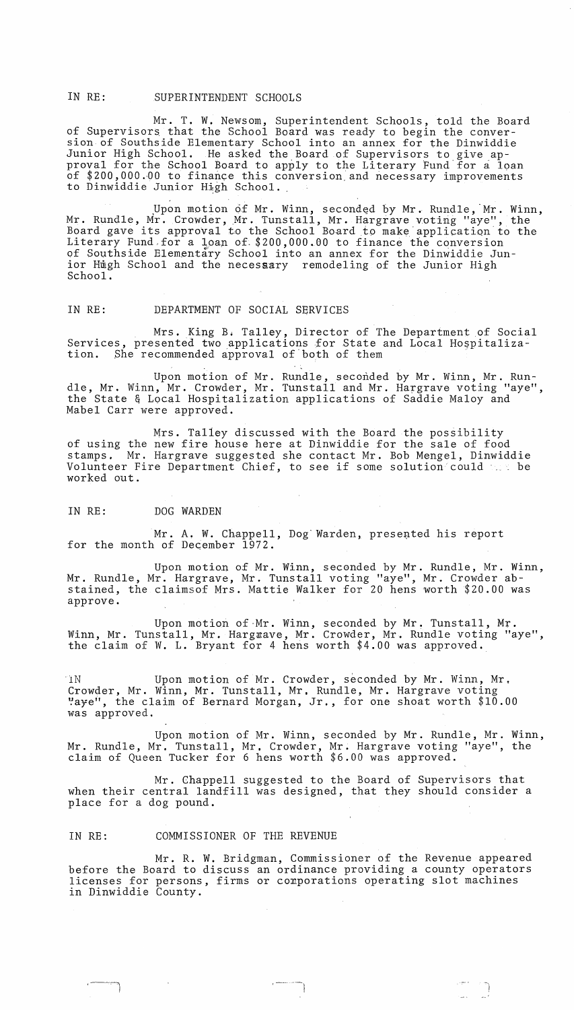### IN RE: SUPERINTENDENT SCHOOLS

Mr. T. W. Newsom, Superintendent Schools, told the Board of Supervisors, that the School Board was ready to begin the conversion of Southside Elementary School into an annex for the Dinwiddie Junior High School. He asked the Board of Supervisors to give approval for the School Board to apply to the Literary Fund for a loan of \$200,000.00 to finance this conversion and necessary improvements to Dinwiddie Junior High School.

Upon motion of Mr. Winn, seconded by Mr. Rundle, Mr. Winn, Mr. Rundle, Mr. Crowder, Mr. Tunstall, Mr. Hargrave voting "aye", the Board gave its approval to the School Board to make application to the Literary Fund for a Loan of \$200,000.00 to finance the conversion of Southside Elementary School into an annex for the Dinwiddie Junior Hugh School and the necessary remodeling of the Junior High School.

#### IN RE: DEPARTMENT OF SOCIAL SERVICES

Mrs. King Bi Talley, Director of The Department of Social Services, presented two applications for State and Local Hospitalization. She recommended approval of both of them

Upon motion of Mr. Rundle, seconded by Mr. Winn, Mr. Rundle, Mr. Winn, Mr. Crowder, Mr. Tunstall and Mr. Hargrave voting "aye", the State & Local Hospitalization applications of Saddie Maloy and Mabel Carr were approved.

Mrs. Talley discussed with the Board the possibility of using the new fire house here at Dinwiddie for the sale of food stamps. Mr. Hargrave suggested she contact Mr. Bob Mengel, Dinwiddie Volunteer Fire Department Chief, to see if some solution could the be worked out.

#### IN RE: DOG WARDEN

Mr. A. W. Chappell, Dog Warden, presented his report for the month of December 1972.

Upon motion of Mr. Winn, seconded by Mr. Rundle, Mr. Winn, Mr. Rundle, Mr. Hargrave, Mr. Tunstall voting "aye", Mr. Crowder abstained, the claimsof Mrs. Mattie Walker for 20 hens worth \$20.00 was approve.

Upon motion of Mr. Winn, seconded by Mr. Tunstall, Mr. Winn, Mr. Tunstall, Mr. Hargrave, Mr. Crowder, Mr. Rundle voting "aye", the claim of W. L. Bryant for 4 hens worth \$4.00 was approved.

'iN Upon motion of Mr. Crowder, seconded by Mr. Winn, Mr. Crowder, Mr. Winn, Mr. Tunstall, Mr, Rundle, Mr. Hargrave voting ~ayei', the claim of Bernard Morgan, Jr., for one shoat worth \$10.00 was approved.

Upon motion of Mr. Winn, seconded by Mr. Rundle, Mr. Winn, Mr. Rundle, Mr. Tunstall, Mr. Crowder, Mr. Hargrave voting "aye", the claim of Queen Tucker for 6 hens worth \$6.00 was approved.

Mr. Chappell suggested to the Board of Supervisors that when their central landfill was designed, that they should consider a place for a dog pound.

### IN RE: COMMISSIONER OF THE REVENUE

I

Mr. R. W. Bridgman, Commissioner of the Revenue appeared before the Board to discuss an ordinance providing a county operators licenses for persons, firms or conporations operating slot machines in Dinwiddie County.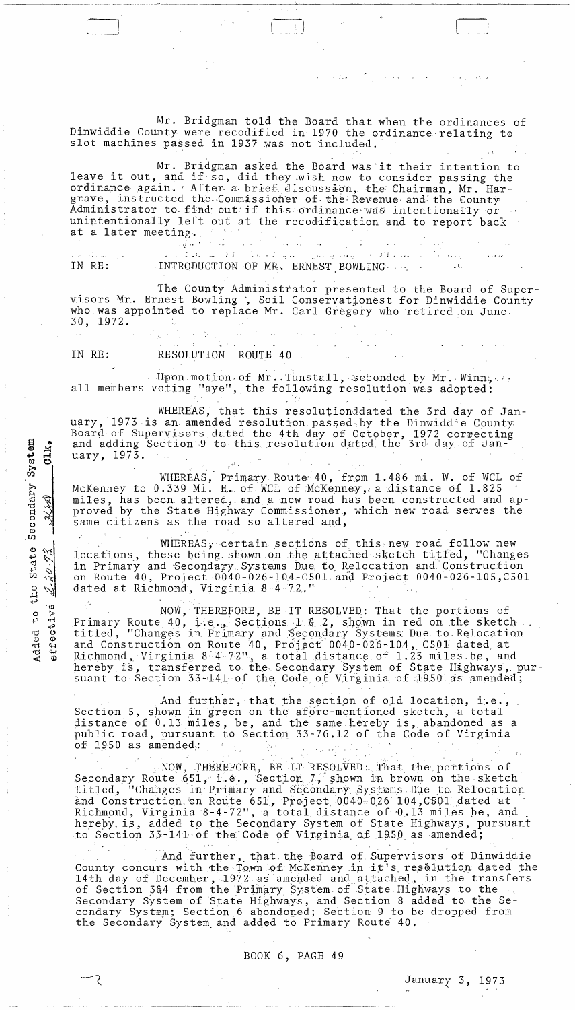Mr. Bridgman told the Board that when the ordinances of Dinwiddie County were recodified in 1970 the ordinance-relating to slot machines passed in 1937 was not included.

I )

Mr. Bridgman asked the Board was it their intention to leave it out, and if so, did they wish now to consider passing the ordinance again. After a brief discussion, the Chairman, Mr. Hargrave, instructed the Commissioner of the Revenue and the County Administrator to find out if this ordinance was intentionally or unintentionally left out at the recodification and to report back at a later meeting.

IN RE:  $\omega_{\perp}$   $\rightarrow$ .i ; ,  $\blacksquare$   $\blacksquare$   $\blacksquare$   $\blacksquare$   $\blacksquare$   $\blacksquare$   $\blacksquare$   $\blacksquare$   $\blacksquare$   $\blacksquare$   $\blacksquare$   $\blacksquare$   $\blacksquare$   $\blacksquare$   $\blacksquare$   $\blacksquare$   $\blacksquare$   $\blacksquare$   $\blacksquare$   $\blacksquare$   $\blacksquare$   $\blacksquare$   $\blacksquare$   $\blacksquare$   $\blacksquare$   $\blacksquare$   $\blacksquare$   $\blacksquare$   $\blacksquare$   $\blacksquare$   $\blacksquare$   $\blacksquare$ 

... . The County Administrator presented to the Board of Supervisors Mr. Ernest Bowling, Soil Conservationest for Dinwiddie County who was appointed to replace Mr. Carl Gregory who retired on June, 30, 1972. المقارب والمنافس والمستقر والمنافس والمعاقب

"I .

 $\mathcal{L}(\mathcal{A})$  . And the set of  $\mathcal{L}(\mathcal{A})$  , we can also also the set of

နေသည် ကွေးကွယ်သည်။<br>ကြေးကွယ်သည် နေသည်။ IN RE: RESOLUTION ROUTE 40

a<br>a<br>a<br>a  $\frac{1}{2}$  $\frac{\text{Syst}}{\text{U}}$ 

**START COMPANY** 

Secondary<br>- XXX)

 $\frac{1}{2}$  stat<br> $\frac{1}{2}$ 

 $\frac{1}{2}$   $\frac{1}{2}$ 

'(1.) 0 :> +' '1~ **...:.,) fij** 0 a<br>G<br>G<br>Y<br>Y ৰ ৩

て

 $\bm \omega$ 

Upon motion of Mr. Tunstall, seconded by Mr. Winn, ... all members voting "aye", the following resolution was adopted:

WHEREAS, that this resolutionddated the 3rd day of January, 1973 is an amended resolution passed, by the Dinwiddie County Board of Supervisors dated the 4th day of October, 1972 correcting and adding Section 9 to this. resolution, dated the 3rd day of January, 1973. الأهوب

WHEREAS, Primary Route 40, from 1.486 mi. W. of WCL of McKenney to 0.339 Mi. E. of WCL of McKenney, a distance of 1.825 miles, has been altered, and a new road has been constructed and approved by the State Highway Commissioner., which new road serves the same citizens as the road so altered and,

WHEREAS, certain sections of this new road follow new locations, these being shown on the attached sketch titled, "Changes in Primary and Secondary Systems Due to Relocation and Construction on Route 40, Project 0040-026-104-C501 and Project 0040-026-105, C501 dated at Richmond, Virginia 8-4-72."

NOW, THEREFORE, BE IT RESOLVED: That the portions of Primary Route 40, i.e., Sections 1  $\xi$  2, shown in red on the sketch. titled, "Changes in Primary and Secondary Systems Due to Relocation and Construction on Route  $40$ , Project  $0040-026-104$ , C501 dated at Richmond, Virginia 8-4-72", a total distance of 1.23 miles be, and hereby is, transferred to the Secondary System of State Highways, pursuant to Section  $33 - 141$  of the Code of Virginia of 1950 as amended;

And further, that the section of old location, i.e., Section 5, shown in green on the afore-mentioned sketch, a total distance of 0.13 miles, be, and the same hereby is, abandoned as a public road, pursuant to Section 33-76.12 of the Code of Virginia of  $1950$  as amended:

NOW, THEREFORE, BE IT RESOLVED: That the portions of Secondary Route 651, i.e., Section, 7, shown in brown on the sketch becomany Route 831, i.e., Section 9, Shown in Diown on the SRCten titled, "Changes in Primary and Secondary Systems Due to Relocation and Construction. on Route 651, Project .0040-026-104, C501 dated at ." Richmond, Virginia 8-4-72", a total distance of 0.13 miles be, and hereby is, added to the Secondary System of State Highways, pursuant to Section 33-141 of the Code of Virginia of 1950 as amended;

And further, that the Board of Supervisors of Dinwiddie County concurs with the Town of McKenney in it's resolution dated the 14th day of December, 1972 as amended and attached. in the transfers of Section 364 from the Primary System of State Highways to the Secondary System of State Highways, and Section 8 added to the Secondary System; Section 6 abondoned; Section 9 to be dropped from the Secondary System and added to Primary Route 40.

BOOK 6, PAGE 49